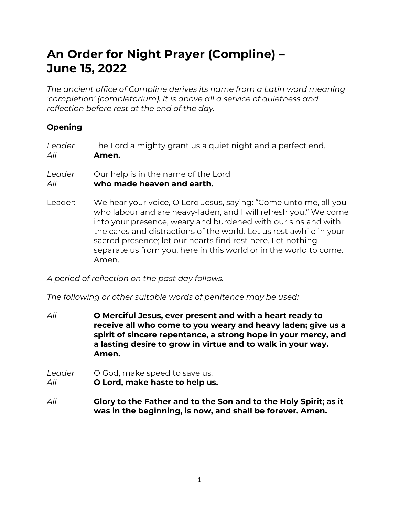# An Order for Night Prayer (Compline) – June 15, 2022

The ancient office of Compline derives its name from a Latin word meaning 'completion' (completorium). It is above all a service of quietness and reflection before rest at the end of the day.

## Opening

| Leader | The Lord almighty grant us a quiet night and a perfect end. |
|--------|-------------------------------------------------------------|
| All    | Amen.                                                       |
|        |                                                             |

Leader Our help is in the name of the Lord All who made heaven and earth.

Leader: We hear your voice, O Lord Jesus, saying: "Come unto me, all you who labour and are heavy-laden, and I will refresh you." We come into your presence, weary and burdened with our sins and with the cares and distractions of the world. Let us rest awhile in your sacred presence; let our hearts find rest here. Let nothing separate us from you, here in this world or in the world to come. Amen.

A period of reflection on the past day follows.

The following or other suitable words of penitence may be used:

All O Merciful Jesus, ever present and with a heart ready to receive all who come to you weary and heavy laden; give us a spirit of sincere repentance, a strong hope in your mercy, and a lasting desire to grow in virtue and to walk in your way. Amen.

Leader O God, make speed to save us. All **O Lord, make haste to help us.** 

All Glory to the Father and to the Son and to the Holy Spirit; as it was in the beginning, is now, and shall be forever. Amen.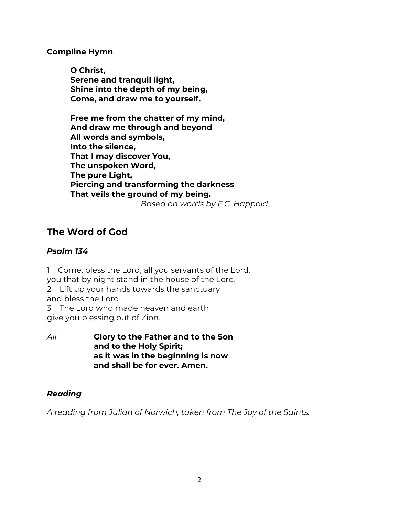Compline Hymn

O Christ, Serene and tranquil light, Shine into the depth of my being, Come, and draw me to yourself.

Free me from the chatter of my mind, And draw me through and beyond All words and symbols, Into the silence, That I may discover You, The unspoken Word, The pure Light, Piercing and transforming the darkness That veils the ground of my being.

Based on words by F.C. Happold

# The Word of God

#### Psalm 134

1 Come, bless the Lord, all you servants of the Lord, you that by night stand in the house of the Lord. 2 Lift up your hands towards the sanctuary and bless the Lord. 3 The Lord who made heaven and earth

- give you blessing out of Zion.
- All Glory to the Father and to the Son and to the Holy Spirit; as it was in the beginning is now and shall be for ever. Amen.

### Reading

A reading from Julian of Norwich, taken from The Joy of the Saints.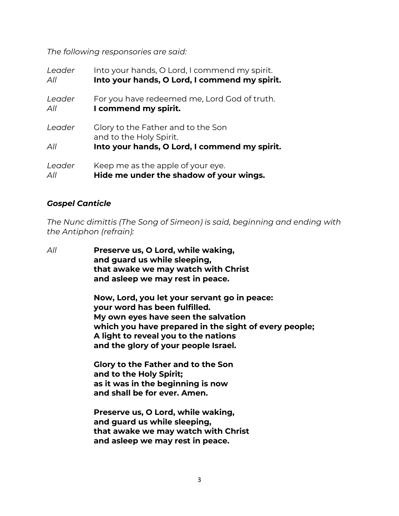The following responsories are said:

| Leader | Into your hands, O Lord, I commend my spirit.                 |
|--------|---------------------------------------------------------------|
| All    | Into your hands, O Lord, I commend my spirit.                 |
| Leader | For you have redeemed me, Lord God of truth.                  |
| All    | I commend my spirit.                                          |
| Leader | Glory to the Father and to the Son<br>and to the Holy Spirit. |
| All    | Into your hands, O Lord, I commend my spirit.                 |
| Leader | Keep me as the apple of your eye.                             |
| All    | Hide me under the shadow of your wings.                       |

#### Gospel Canticle

The Nunc dimittis (The Song of Simeon) is said, beginning and ending with the Antiphon (refrain):

All **Preserve us, O Lord, while waking,** and guard us while sleeping, that awake we may watch with Christ and asleep we may rest in peace.

> Now, Lord, you let your servant go in peace: your word has been fulfilled. My own eyes have seen the salvation which you have prepared in the sight of every people; A light to reveal you to the nations and the glory of your people Israel.

 Glory to the Father and to the Son and to the Holy Spirit; as it was in the beginning is now and shall be for ever. Amen.

 Preserve us, O Lord, while waking, and guard us while sleeping, that awake we may watch with Christ and asleep we may rest in peace.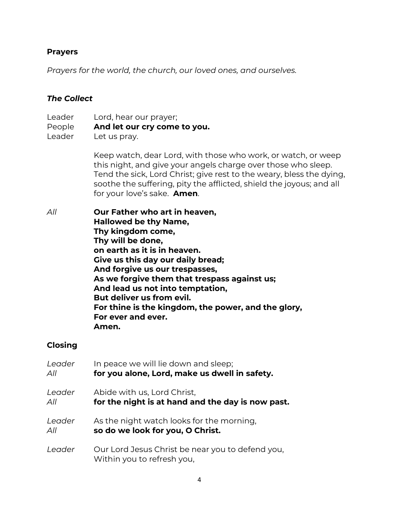#### Prayers

Prayers for the world, the church, our loved ones, and ourselves.

#### The Collect

Leader Lord, hear our prayer; People And let our cry come to you. Leader Let us pray.

> Keep watch, dear Lord, with those who work, or watch, or weep this night, and give your angels charge over those who sleep. Tend the sick, Lord Christ; give rest to the weary, bless the dying, soothe the suffering, pity the afflicted, shield the joyous; and all for your love's sake. **Amen**.

All Our Father who art in heaven, Hallowed be thy Name, Thy kingdom come, Thy will be done, on earth as it is in heaven. Give us this day our daily bread; And forgive us our trespasses, As we forgive them that trespass against us; And lead us not into temptation, But deliver us from evil. For thine is the kingdom, the power, and the glory, For ever and ever. Amen.

#### Closing

| Leader | In peace we will lie down and sleep;                                           |
|--------|--------------------------------------------------------------------------------|
| All    | for you alone, Lord, make us dwell in safety.                                  |
| Leader | Abide with us, Lord Christ,                                                    |
| All    | for the night is at hand and the day is now past.                              |
| Leader | As the night watch looks for the morning,                                      |
| All    | so do we look for you, O Christ.                                               |
| Leader | Our Lord Jesus Christ be near you to defend you,<br>Within you to refresh you, |